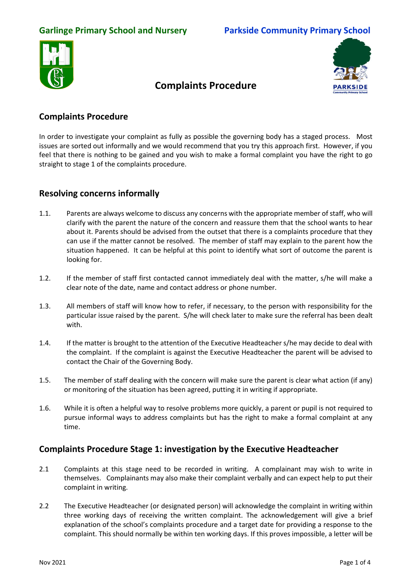



# **Complaints Procedure**

## **Complaints Procedure**

In order to investigate your complaint as fully as possible the governing body has a staged process. Most issues are sorted out informally and we would recommend that you try this approach first. However, if you feel that there is nothing to be gained and you wish to make a formal complaint you have the right to go straight to stage 1 of the complaints procedure.

### **Resolving concerns informally**

- 1.1. Parents are always welcome to discuss any concerns with the appropriate member of staff, who will clarify with the parent the nature of the concern and reassure them that the school wants to hear about it. Parents should be advised from the outset that there is a complaints procedure that they can use if the matter cannot be resolved. The member of staff may explain to the parent how the situation happened. It can be helpful at this point to identify what sort of outcome the parent is looking for.
- 1.2. If the member of staff first contacted cannot immediately deal with the matter, s/he will make a clear note of the date, name and contact address or phone number.
- 1.3. All members of staff will know how to refer, if necessary, to the person with responsibility for the particular issue raised by the parent. S/he will check later to make sure the referral has been dealt with.
- 1.4. If the matter is brought to the attention of the Executive Headteacher s/he may decide to deal with the complaint. If the complaint is against the Executive Headteacher the parent will be advised to contact the Chair of the Governing Body.
- 1.5. The member of staff dealing with the concern will make sure the parent is clear what action (if any) or monitoring of the situation has been agreed, putting it in writing if appropriate.
- 1.6. While it is often a helpful way to resolve problems more quickly, a parent or pupil is not required to pursue informal ways to address complaints but has the right to make a formal complaint at any time.

### **Complaints Procedure Stage 1: investigation by the Executive Headteacher**

- 2.1 Complaints at this stage need to be recorded in writing. A complainant may wish to write in themselves. Complainants may also make their complaint verbally and can expect help to put their complaint in writing.
- 2.2 The Executive Headteacher (or designated person) will acknowledge the complaint in writing within three working days of receiving the written complaint. The acknowledgement will give a brief explanation of the school's complaints procedure and a target date for providing a response to the complaint. This should normally be within ten working days. If this proves impossible, a letter will be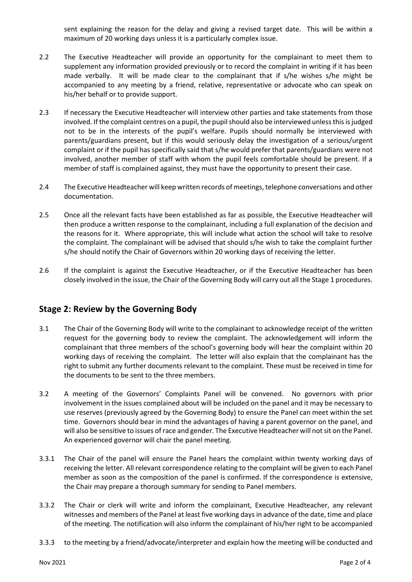sent explaining the reason for the delay and giving a revised target date. This will be within a maximum of 20 working days unless it is a particularly complex issue.

- 2.2 The Executive Headteacher will provide an opportunity for the complainant to meet them to supplement any information provided previously or to record the complaint in writing if it has been made verbally. It will be made clear to the complainant that if s/he wishes s/he might be accompanied to any meeting by a friend, relative, representative or advocate who can speak on his/her behalf or to provide support.
- 2.3 If necessary the Executive Headteacher will interview other parties and take statements from those involved. If the complaint centres on a pupil, the pupil should also be interviewed unless this is judged not to be in the interests of the pupil's welfare. Pupils should normally be interviewed with parents/guardians present, but if this would seriously delay the investigation of a serious/urgent complaint or if the pupil has specifically said that s/he would prefer that parents/guardians were not involved, another member of staff with whom the pupil feels comfortable should be present. If a member of staff is complained against, they must have the opportunity to present their case.
- 2.4 The Executive Headteacher will keep written records of meetings, telephone conversations and other documentation.
- 2.5 Once all the relevant facts have been established as far as possible, the Executive Headteacher will then produce a written response to the complainant, including a full explanation of the decision and the reasons for it. Where appropriate, this will include what action the school will take to resolve the complaint. The complainant will be advised that should s/he wish to take the complaint further s/he should notify the Chair of Governors within 20 working days of receiving the letter.
- 2.6 If the complaint is against the Executive Headteacher, or if the Executive Headteacher has been closely involved in the issue, the Chair of the Governing Body will carry out all the Stage 1 procedures.

### **Stage 2: Review by the Governing Body**

- 3.1 The Chair of the Governing Body will write to the complainant to acknowledge receipt of the written request for the governing body to review the complaint. The acknowledgement will inform the complainant that three members of the school's governing body will hear the complaint within 20 working days of receiving the complaint. The letter will also explain that the complainant has the right to submit any further documents relevant to the complaint. These must be received in time for the documents to be sent to the three members.
- 3.2 A meeting of the Governors' Complaints Panel will be convened. No governors with prior involvement in the issues complained about will be included on the panel and it may be necessary to use reserves (previously agreed by the Governing Body) to ensure the Panel can meet within the set time. Governors should bear in mind the advantages of having a parent governor on the panel, and will also be sensitive to issues of race and gender. The Executive Headteacher will not sit on the Panel. An experienced governor will chair the panel meeting.
- 3.3.1 The Chair of the panel will ensure the Panel hears the complaint within twenty working days of receiving the letter. All relevant correspondence relating to the complaint will be given to each Panel member as soon as the composition of the panel is confirmed. If the correspondence is extensive, the Chair may prepare a thorough summary for sending to Panel members.
- 3.3.2 The Chair or clerk will write and inform the complainant, Executive Headteacher, any relevant witnesses and members of the Panel at least five working days in advance of the date, time and place of the meeting. The notification will also inform the complainant of his/her right to be accompanied
- 3.3.3 to the meeting by a friend/advocate/interpreter and explain how the meeting will be conducted and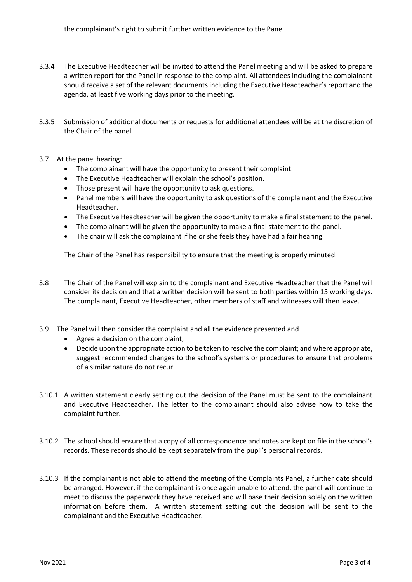- 3.3.4 The Executive Headteacher will be invited to attend the Panel meeting and will be asked to prepare a written report for the Panel in response to the complaint. All attendees including the complainant should receive a set of the relevant documents including the Executive Headteacher's report and the agenda, at least five working days prior to the meeting.
- 3.3.5 Submission of additional documents or requests for additional attendees will be at the discretion of the Chair of the panel.
- 3.7 At the panel hearing:
	- The complainant will have the opportunity to present their complaint.
	- The Executive Headteacher will explain the school's position.
	- Those present will have the opportunity to ask questions.
	- Panel members will have the opportunity to ask questions of the complainant and the Executive Headteacher.
	- The Executive Headteacher will be given the opportunity to make a final statement to the panel.
	- The complainant will be given the opportunity to make a final statement to the panel.
	- The chair will ask the complainant if he or she feels they have had a fair hearing.

The Chair of the Panel has responsibility to ensure that the meeting is properly minuted.

- 3.8 The Chair of the Panel will explain to the complainant and Executive Headteacher that the Panel will consider its decision and that a written decision will be sent to both parties within 15 working days. The complainant, Executive Headteacher, other members of staff and witnesses will then leave.
- 3.9 The Panel will then consider the complaint and all the evidence presented and
	- Agree a decision on the complaint;
	- Decide upon the appropriate action to be taken to resolve the complaint; and where appropriate, suggest recommended changes to the school's systems or procedures to ensure that problems of a similar nature do not recur.
- 3.10.1 A written statement clearly setting out the decision of the Panel must be sent to the complainant and Executive Headteacher. The letter to the complainant should also advise how to take the complaint further.
- 3.10.2 The school should ensure that a copy of all correspondence and notes are kept on file in the school's records. These records should be kept separately from the pupil's personal records.
- 3.10.3 If the complainant is not able to attend the meeting of the Complaints Panel, a further date should be arranged. However, if the complainant is once again unable to attend, the panel will continue to meet to discuss the paperwork they have received and will base their decision solely on the written information before them. A written statement setting out the decision will be sent to the complainant and the Executive Headteacher.